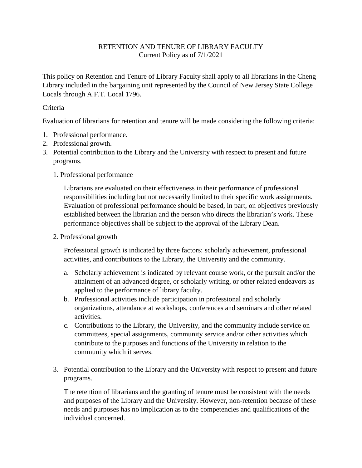## RETENTION AND TENURE OF LIBRARY FACULTY Current Policy as of 7/1/2021

This policy on Retention and Tenure of Library Faculty shall apply to all librarians in the Cheng Library included in the bargaining unit represented by the Council of New Jersey State College Locals through A.F.T. Local 1796.

## Criteria

Evaluation of librarians for retention and tenure will be made considering the following criteria:

- 1. Professional performance.
- 2. Professional growth.
- 3. Potential contribution to the Library and the University with respect to present and future programs.
	- 1. Professional performance

Librarians are evaluated on their effectiveness in their performance of professional responsibilities including but not necessarily limited to their specific work assignments. Evaluation of professional performance should be based, in part, on objectives previously established between the librarian and the person who directs the librarian's work. These performance objectives shall be subject to the approval of the Library Dean.

2. Professional growth

Professional growth is indicated by three factors: scholarly achievement, professional activities, and contributions to the Library, the University and the community.

- a. Scholarly achievement is indicated by relevant course work, or the pursuit and/or the attainment of an advanced degree, or scholarly writing, or other related endeavors as applied to the performance of library faculty.
- b. Professional activities include participation in professional and scholarly organizations, attendance at workshops, conferences and seminars and other related activities.
- c. Contributions to the Library, the University, and the community include service on committees, special assignments, community service and/or other activities which contribute to the purposes and functions of the University in relation to the community which it serves.
- 3. Potential contribution to the Library and the University with respect to present and future programs.

The retention of librarians and the granting of tenure must be consistent with the needs and purposes of the Library and the University. However, non-retention because of these needs and purposes has no implication as to the competencies and qualifications of the individual concerned.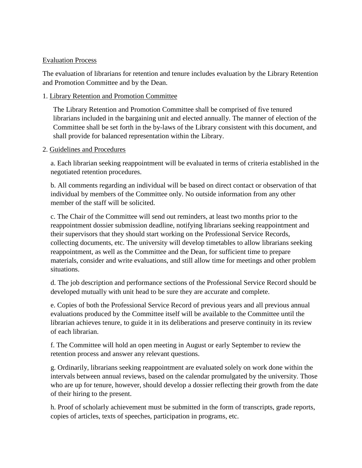### Evaluation Process

The evaluation of librarians for retention and tenure includes evaluation by the Library Retention and Promotion Committee and by the Dean.

### 1. Library Retention and Promotion Committee

The Library Retention and Promotion Committee shall be comprised of five tenured librarians included in the bargaining unit and elected annually. The manner of election of the Committee shall be set forth in the by-laws of the Library consistent with this document, and shall provide for balanced representation within the Library.

#### 2. Guidelines and Procedures

a. Each librarian seeking reappointment will be evaluated in terms of criteria established in the negotiated retention procedures.

b. All comments regarding an individual will be based on direct contact or observation of that individual by members of the Committee only. No outside information from any other member of the staff will be solicited.

c. The Chair of the Committee will send out reminders, at least two months prior to the reappointment dossier submission deadline, notifying librarians seeking reappointment and their supervisors that they should start working on the Professional Service Records, collecting documents, etc. The university will develop timetables to allow librarians seeking reappointment, as well as the Committee and the Dean, for sufficient time to prepare materials, consider and write evaluations, and still allow time for meetings and other problem situations.

d. The job description and performance sections of the Professional Service Record should be developed mutually with unit head to be sure they are accurate and complete.

e. Copies of both the Professional Service Record of previous years and all previous annual evaluations produced by the Committee itself will be available to the Committee until the librarian achieves tenure, to guide it in its deliberations and preserve continuity in its review of each librarian.

f. The Committee will hold an open meeting in August or early September to review the retention process and answer any relevant questions.

g. Ordinarily, librarians seeking reappointment are evaluated solely on work done within the intervals between annual reviews, based on the calendar promulgated by the university. Those who are up for tenure, however, should develop a dossier reflecting their growth from the date of their hiring to the present.

h. Proof of scholarly achievement must be submitted in the form of transcripts, grade reports, copies of articles, texts of speeches, participation in programs, etc.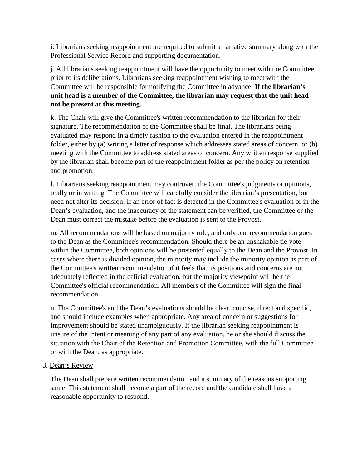i. Librarians seeking reappointment are required to submit a narrative summary along with the Professional Service Record and supporting documentation.

j. All librarians seeking reappointment will have the opportunity to meet with the Committee prior to its deliberations. Librarians seeking reappointment wishing to meet with the Committee will be responsible for notifying the Committee in advance. **If the librarian's unit head is a member of the Committee, the librarian may request that the unit head not be present at this meeting**.

k. The Chair will give the Committee's written recommendation to the librarian for their signature. The recommendation of the Committee shall be final. The librarians being evaluated may respond in a timely fashion to the evaluation entered in the reappointment folder, either by (a) writing a letter of response which addresses stated areas of concern, or (b) meeting with the Committee to address stated areas of concern. Any written response supplied by the librarian shall become part of the reappointment folder as per the policy on retention and promotion.

l. Librarians seeking reappointment may controvert the Committee's judgments or opinions, orally or in writing. The Committee will carefully consider the librarian's presentation, but need not alter its decision. If an error of fact is detected in the Committee's evaluation or in the Dean's evaluation, and the inaccuracy of the statement can be verified, the Committee or the Dean must correct the mistake before the evaluation is sent to the Provost.

m. All recommendations will be based on majority rule, and only one recommendation goes to the Dean as the Committee's recommendation. Should there be an unshakable tie vote within the Committee, both opinions will be presented equally to the Dean and the Provost. In cases where there is divided opinion, the minority may include the minority opinion as part of the Committee's written recommendation if it feels that its positions and concerns are not adequately reflected in the official evaluation, but the majority viewpoint will be the Committee's official recommendation. All members of the Committee will sign the final recommendation.

n. The Committee's and the Dean's evaluations should be clear, concise, direct and specific, and should include examples when appropriate. Any area of concern or suggestions for improvement should be stated unambiguously. If the librarian seeking reappointment is unsure of the intent or meaning of any part of any evaluation, he or she should discuss the situation with the Chair of the Retention and Promotion Committee, with the full Committee or with the Dean, as appropriate.

3. Dean's Review

The Dean shall prepare written recommendation and a summary of the reasons supporting same. This statement shall become a part of the record and the candidate shall have a reasonable opportunity to respond.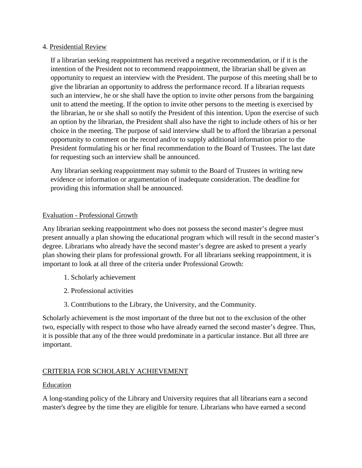#### 4. Presidential Review

If a librarian seeking reappointment has received a negative recommendation, or if it is the intention of the President not to recommend reappointment, the librarian shall be given an opportunity to request an interview with the President. The purpose of this meeting shall be to give the librarian an opportunity to address the performance record. If a librarian requests such an interview, he or she shall have the option to invite other persons from the bargaining unit to attend the meeting. If the option to invite other persons to the meeting is exercised by the librarian, he or she shall so notify the President of this intention. Upon the exercise of such an option by the librarian, the President shall also have the right to include others of his or her choice in the meeting. The purpose of said interview shall be to afford the librarian a personal opportunity to comment on the record and/or to supply additional information prior to the President formulating his or her final recommendation to the Board of Trustees. The last date for requesting such an interview shall be announced.

Any librarian seeking reappointment may submit to the Board of Trustees in writing new evidence or information or argumentation of inadequate consideration. The deadline for providing this information shall be announced.

## Evaluation - Professional Growth

Any librarian seeking reappointment who does not possess the second master's degree must present annually a plan showing the educational program which will result in the second master's degree. Librarians who already have the second master's degree are asked to present a yearly plan showing their plans for professional growth. For all librarians seeking reappointment, it is important to look at all three of the criteria under Professional Growth:

- 1. Scholarly achievement
- 2. Professional activities
- 3. Contributions to the Library, the University, and the Community.

Scholarly achievement is the most important of the three but not to the exclusion of the other two, especially with respect to those who have already earned the second master's degree. Thus, it is possible that any of the three would predominate in a particular instance. But all three are important.

# CRITERIA FOR SCHOLARLY ACHIEVEMENT

## Education

A long-standing policy of the Library and University requires that all librarians earn a second master's degree by the time they are eligible for tenure. Librarians who have earned a second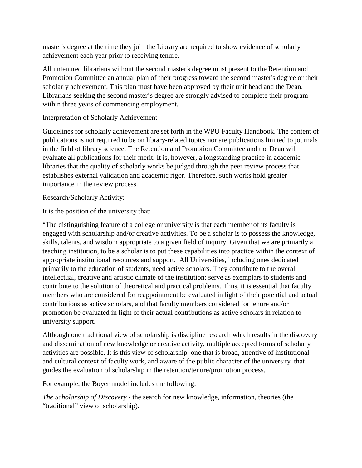master's degree at the time they join the Library are required to show evidence of scholarly achievement each year prior to receiving tenure.

All untenured librarians without the second master's degree must present to the Retention and Promotion Committee an annual plan of their progress toward the second master's degree or their scholarly achievement. This plan must have been approved by their unit head and the Dean. Librarians seeking the second master's degree are strongly advised to complete their program within three years of commencing employment.

## Interpretation of Scholarly Achievement

Guidelines for scholarly achievement are set forth in the WPU Faculty Handbook. The content of publications is not required to be on library-related topics nor are publications limited to journals in the field of library science. The Retention and Promotion Committee and the Dean will evaluate all publications for their merit. It is, however, a longstanding practice in academic libraries that the quality of scholarly works be judged through the peer review process that establishes external validation and academic rigor. Therefore, such works hold greater importance in the review process.

## Research/Scholarly Activity:

It is the position of the university that:

"The distinguishing feature of a college or university is that each member of its faculty is engaged with scholarship and/or creative activities. To be a scholar is to possess the knowledge, skills, talents, and wisdom appropriate to a given field of inquiry. Given that we are primarily a teaching institution, to be a scholar is to put these capabilities into practice within the context of appropriate institutional resources and support. All Universities, including ones dedicated primarily to the education of students, need active scholars. They contribute to the overall intellectual, creative and artistic climate of the institution; serve as exemplars to students and contribute to the solution of theoretical and practical problems. Thus, it is essential that faculty members who are considered for reappointment be evaluated in light of their potential and actual contributions as active scholars, and that faculty members considered for tenure and/or promotion be evaluated in light of their actual contributions as active scholars in relation to university support.

Although one traditional view of scholarship is discipline research which results in the discovery and dissemination of new knowledge or creative activity, multiple accepted forms of scholarly activities are possible. It is this view of scholarship–one that is broad, attentive of institutional and cultural context of faculty work, and aware of the public character of the university–that guides the evaluation of scholarship in the retention/tenure/promotion process.

For example, the Boyer model includes the following:

*The Scholarship of Discovery* - the search for new knowledge, information, theories (the "traditional" view of scholarship).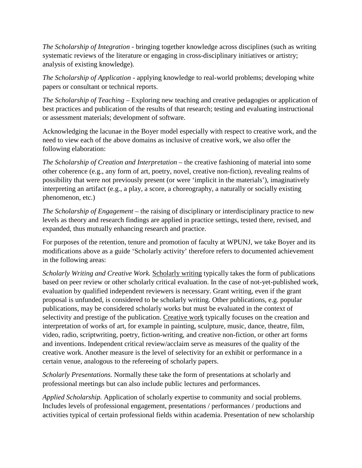*The Scholarship of Integration* - bringing together knowledge across disciplines (such as writing systematic reviews of the literature or engaging in cross-disciplinary initiatives or artistry; analysis of existing knowledge).

*The Scholarship of Application* - applying knowledge to real-world problems; developing white papers or consultant or technical reports.

*The Scholarship of Teaching* – Exploring new teaching and creative pedagogies or application of best practices and publication of the results of that research; testing and evaluating instructional or assessment materials; development of software.

Acknowledging the lacunae in the Boyer model especially with respect to creative work, and the need to view each of the above domains as inclusive of creative work, we also offer the following elaboration:

*The Scholarship of Creation and Interpretation* – the creative fashioning of material into some other coherence (e.g., any form of art, poetry, novel, creative non-fiction), revealing realms of possibility that were not previously present (or were 'implicit in the materials'), imaginatively interpreting an artifact (e.g., a play, a score, a choreography, a naturally or socially existing phenomenon, etc.)

*The Scholarship of Engagement* – the raising of disciplinary or interdisciplinary practice to new levels as theory and research findings are applied in practice settings, tested there, revised, and expanded, thus mutually enhancing research and practice.

For purposes of the retention, tenure and promotion of faculty at WPUNJ, we take Boyer and its modifications above as a guide 'Scholarly activity' therefore refers to documented achievement in the following areas:

*Scholarly Writing and Creative Work.* Scholarly writing typically takes the form of publications based on peer review or other scholarly critical evaluation. In the case of not-yet-published work, evaluation by qualified independent reviewers is necessary. Grant writing, even if the grant proposal is unfunded, is considered to be scholarly writing. Other publications, e.g. popular publications, may be considered scholarly works but must be evaluated in the context of selectivity and prestige of the publication. Creative work typically focuses on the creation and interpretation of works of art, for example in painting, sculpture, music, dance, theatre, film, video, radio, scriptwriting, poetry, fiction-writing, and creative non-fiction, or other art forms and inventions. Independent critical review/acclaim serve as measures of the quality of the creative work. Another measure is the level of selectivity for an exhibit or performance in a certain venue, analogous to the refereeing of scholarly papers.

*Scholarly Presentations.* Normally these take the form of presentations at scholarly and professional meetings but can also include public lectures and performances.

*Applied Scholarship.* Application of scholarly expertise to community and social problems. Includes levels of professional engagement, presentations / performances / productions and activities typical of certain professional fields within academia. Presentation of new scholarship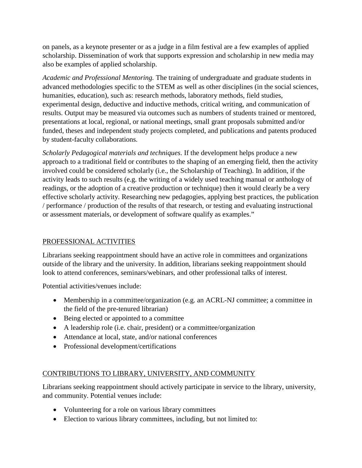on panels, as a keynote presenter or as a judge in a film festival are a few examples of applied scholarship. Dissemination of work that supports expression and scholarship in new media may also be examples of applied scholarship.

*Academic and Professional Mentoring.* The training of undergraduate and graduate students in advanced methodologies specific to the STEM as well as other disciplines (in the social sciences, humanities, education), such as: research methods, laboratory methods, field studies, experimental design, deductive and inductive methods, critical writing, and communication of results. Output may be measured via outcomes such as numbers of students trained or mentored, presentations at local, regional, or national meetings, small grant proposals submitted and/or funded, theses and independent study projects completed, and publications and patents produced by student-faculty collaborations.

*Scholarly Pedagogical materials and techniques*. If the development helps produce a new approach to a traditional field or contributes to the shaping of an emerging field, then the activity involved could be considered scholarly (i.e., the Scholarship of Teaching). In addition, if the activity leads to such results (e.g. the writing of a widely used teaching manual or anthology of readings, or the adoption of a creative production or technique) then it would clearly be a very effective scholarly activity. Researching new pedagogies, applying best practices, the publication / performance / production of the results of that research, or testing and evaluating instructional or assessment materials, or development of software qualify as examples."

## PROFESSIONAL ACTIVITIES

Librarians seeking reappointment should have an active role in committees and organizations outside of the library and the university. In addition, librarians seeking reappointment should look to attend conferences, seminars/webinars, and other professional talks of interest.

Potential activities/venues include:

- Membership in a committee/organization (e.g. an ACRL-NJ committee; a committee in the field of the pre-tenured librarian)
- Being elected or appointed to a committee
- A leadership role (i.e. chair, president) or a committee/organization
- Attendance at local, state, and/or national conferences
- Professional development/certifications

# CONTRIBUTIONS TO LIBRARY, UNIVERSITY, AND COMMUNITY

Librarians seeking reappointment should actively participate in service to the library, university, and community. Potential venues include:

- Volunteering for a role on various library committees
- Election to various library committees, including, but not limited to: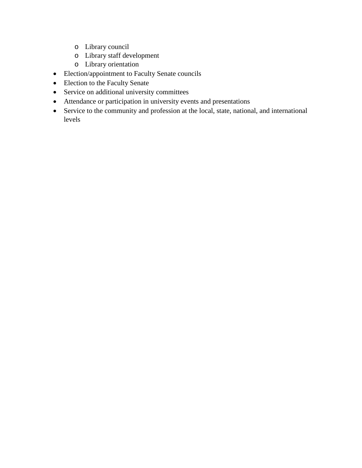- o Library council
- o Library staff development
- o Library orientation
- Election/appointment to Faculty Senate councils
- Election to the Faculty Senate
- Service on additional university committees
- Attendance or participation in university events and presentations
- Service to the community and profession at the local, state, national, and international levels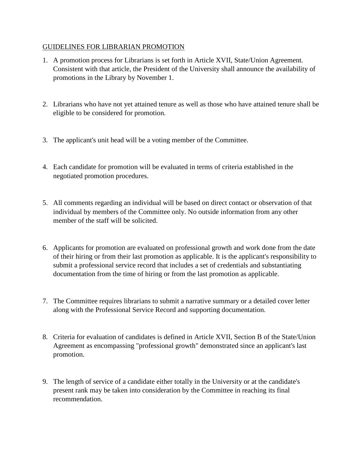## GUIDELINES FOR LIBRARIAN PROMOTION

- 1. A promotion process for Librarians is set forth in Article XVII, State/Union Agreement. Consistent with that article, the President of the University shall announce the availability of promotions in the Library by November 1.
- 2. Librarians who have not yet attained tenure as well as those who have attained tenure shall be eligible to be considered for promotion.
- 3. The applicant's unit head will be a voting member of the Committee.
- 4. Each candidate for promotion will be evaluated in terms of criteria established in the negotiated promotion procedures.
- 5. All comments regarding an individual will be based on direct contact or observation of that individual by members of the Committee only. No outside information from any other member of the staff will be solicited.
- 6. Applicants for promotion are evaluated on professional growth and work done from the date of their hiring or from their last promotion as applicable. It is the applicant's responsibility to submit a professional service record that includes a set of credentials and substantiating documentation from the time of hiring or from the last promotion as applicable.
- 7. The Committee requires librarians to submit a narrative summary or a detailed cover letter along with the Professional Service Record and supporting documentation.
- 8. Criteria for evaluation of candidates is defined in Article XVII, Section B of the State/Union Agreement as encompassing "professional growth" demonstrated since an applicant's last promotion.
- 9. The length of service of a candidate either totally in the University or at the candidate's present rank may be taken into consideration by the Committee in reaching its final recommendation.